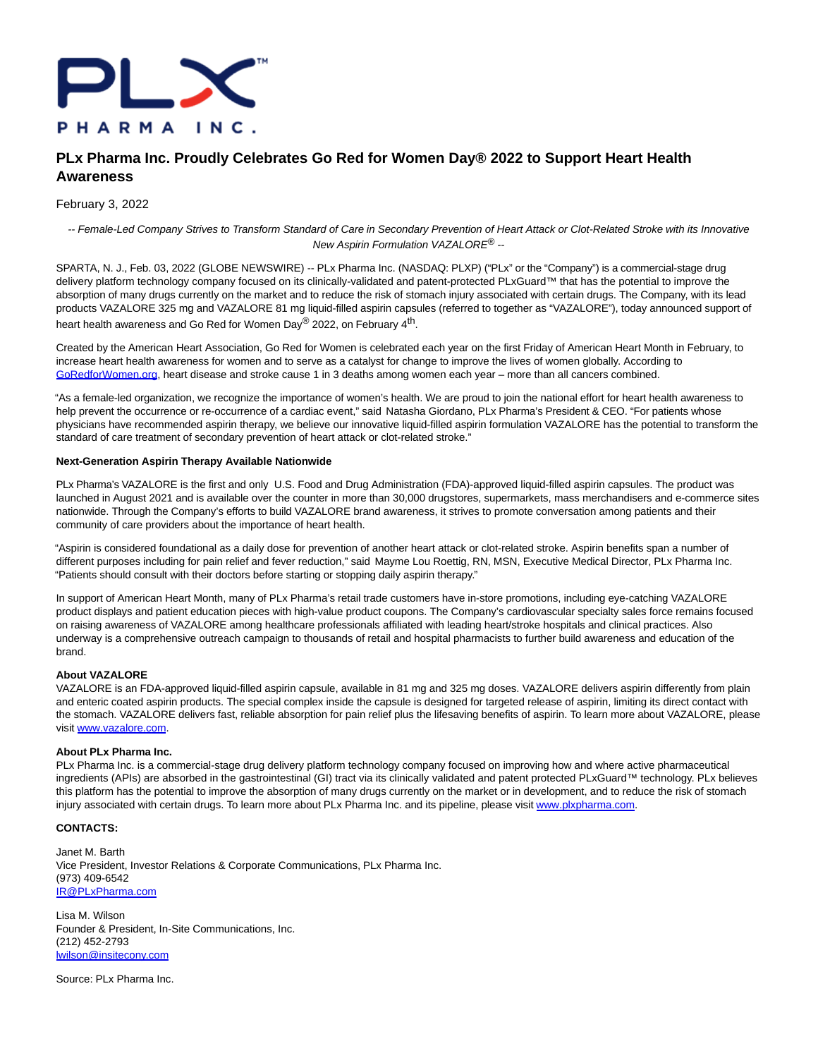

# **PLx Pharma Inc. Proudly Celebrates Go Red for Women Day® 2022 to Support Heart Health Awareness**

### February 3, 2022

-- Female-Led Company Strives to Transform Standard of Care in Secondary Prevention of Heart Attack or Clot-Related Stroke with its Innovative New Aspirin Formulation VAZALORE® --

SPARTA, N. J., Feb. 03, 2022 (GLOBE NEWSWIRE) -- PLx Pharma Inc. (NASDAQ: PLXP) ("PLx" or the "Company") is a commercial-stage drug delivery platform technology company focused on its clinically-validated and patent-protected PLxGuard™ that has the potential to improve the absorption of many drugs currently on the market and to reduce the risk of stomach injury associated with certain drugs. The Company, with its lead products VAZALORE 325 mg and VAZALORE 81 mg liquid-filled aspirin capsules (referred to together as "VAZALORE"), today announced support of heart health awareness and Go Red for Women Day® 2022, on February 4<sup>th</sup>.

Created by the American Heart Association, Go Red for Women is celebrated each year on the first Friday of American Heart Month in February, to increase heart health awareness for women and to serve as a catalyst for change to improve the lives of women globally. According to [GoRedforWomen.org,](http://goredforwomen.org/) heart disease and stroke cause 1 in 3 deaths among women each year – more than all cancers combined.

"As a female-led organization, we recognize the importance of women's health. We are proud to join the national effort for heart health awareness to help prevent the occurrence or re-occurrence of a cardiac event," said Natasha Giordano, PLx Pharma's President & CEO. "For patients whose physicians have recommended aspirin therapy, we believe our innovative liquid-filled aspirin formulation VAZALORE has the potential to transform the standard of care treatment of secondary prevention of heart attack or clot-related stroke."

#### **Next-Generation Aspirin Therapy Available Nationwide**

PLx Pharma's VAZALORE is the first and only U.S. Food and Drug Administration (FDA)-approved liquid-filled aspirin capsules. The product was launched in August 2021 and is available over the counter in more than 30,000 drugstores, supermarkets, mass merchandisers and e-commerce sites nationwide. Through the Company's efforts to build VAZALORE brand awareness, it strives to promote conversation among patients and their community of care providers about the importance of heart health.

"Aspirin is considered foundational as a daily dose for prevention of another heart attack or clot-related stroke. Aspirin benefits span a number of different purposes including for pain relief and fever reduction," said Mayme Lou Roettig, RN, MSN, Executive Medical Director, PLx Pharma Inc. "Patients should consult with their doctors before starting or stopping daily aspirin therapy."

In support of American Heart Month, many of PLx Pharma's retail trade customers have in-store promotions, including eye-catching VAZALORE product displays and patient education pieces with high-value product coupons. The Company's cardiovascular specialty sales force remains focused on raising awareness of VAZALORE among healthcare professionals affiliated with leading heart/stroke hospitals and clinical practices. Also underway is a comprehensive outreach campaign to thousands of retail and hospital pharmacists to further build awareness and education of the brand.

## **About VAZALORE**

VAZALORE is an FDA-approved liquid-filled aspirin capsule, available in 81 mg and 325 mg doses. VAZALORE delivers aspirin differently from plain and enteric coated aspirin products. The special complex inside the capsule is designed for targeted release of aspirin, limiting its direct contact with the stomach. VAZALORE delivers fast, reliable absorption for pain relief plus the lifesaving benefits of aspirin. To learn more about VAZALORE, please visit [www.vazalore.com.](https://www.globenewswire.com/Tracker?data=Cj_KPOryIhrTvJdcixTxjesXQfHNOtLGdIGPWC9ZsQ_f6H2u1JYqYL_6-bmtV_n5sh4Uf7Edl0KW1MhZHmKxFQ==)

### **About PLx Pharma Inc.**

PLx Pharma Inc. is a commercial-stage drug delivery platform technology company focused on improving how and where active pharmaceutical ingredients (APIs) are absorbed in the gastrointestinal (GI) tract via its clinically validated and patent protected PLxGuard™ technology. PLx believes this platform has the potential to improve the absorption of many drugs currently on the market or in development, and to reduce the risk of stomach injury associated with certain drugs. To learn more about PLx Pharma Inc. and its pipeline, please visit [www.plxpharma.com.](https://www.globenewswire.com/Tracker?data=6RhGEAR8IEs85-FhGKVkN8P4NF4Ofbw_wHKoWvEbL_SRtnJCOojSLB_ChuJQuA3SZATLcaeyF5oyJovK24JfSA==)

# **CONTACTS:**

Janet M. Barth Vice President, Investor Relations & Corporate Communications, PLx Pharma Inc. (973) 409-6542 [IR@PLxPharma.com](https://www.globenewswire.com/Tracker?data=JffVE2LbMJJhV0jhDuBIOhcTApJsbERj_HiBQA2SzmK1yDOy2vtqXsbnJb_gE2dHvfllEF01sLDEX91gfqc-Ow==)

Lisa M. Wilson Founder & President, In-Site Communications, Inc. (212) 452-2793 [lwilson@insitecony.com](https://www.globenewswire.com/Tracker?data=O8DWZWyzV18TQXX6tJ6Camu6iVnBhMILmXeopUSgMZr-zvSSKfEelX1xTHxjVvW6cK0Sxu-oj1voO7Eb_8ftunmW4iyOuwwPhj349xehbsw=)

Source: PLx Pharma Inc.